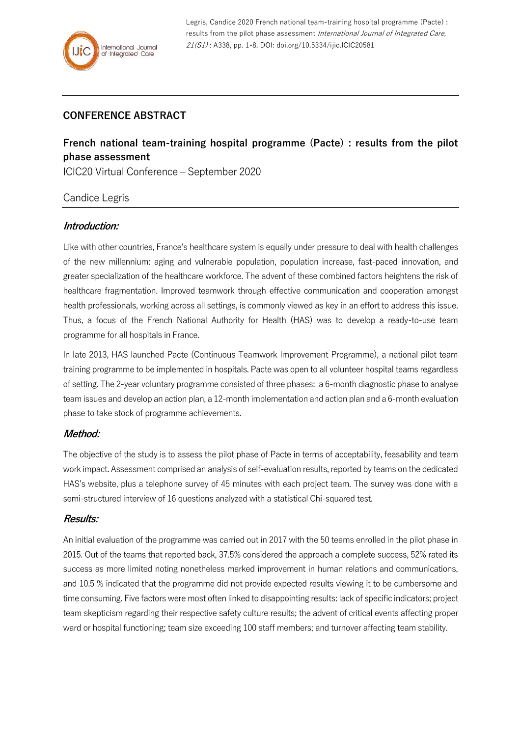Legris, Candice 2020 French national team-training hospital programme (Pacte) : results from the pilot phase assessment International Journal of Integrated Care, 21(S1) : A338, pp. 1-8, DOI: doi.org/10.5334/ijic.ICIC20581

# **CONFERENCE ABSTRACT**

# **French national team-training hospital programme (Pacte) : results from the pilot phase assessment**

ICIC20 Virtual Conference – September 2020

# Candice Legris

#### **Introduction:**

Like with other countries, France's healthcare system is equally under pressure to deal with health challenges of the new millennium: aging and vulnerable population, population increase, fast-paced innovation, and greater specialization of the healthcare workforce. The advent of these combined factors heightens the risk of healthcare fragmentation. Improved teamwork through effective communication and cooperation amongst health professionals, working across all settings, is commonly viewed as key in an effort to address this issue. Thus, a focus of the French National Authority for Health (HAS) was to develop a ready-to-use team programme for all hospitals in France.

In late 2013, HAS launched Pacte (Continuous Teamwork Improvement Programme), a national pilot team training programme to be implemented in hospitals. Pacte was open to all volunteer hospital teams regardless of setting. The 2-year voluntary programme consisted of three phases: a 6-month diagnostic phase to analyse team issues and develop an action plan, a 12-month implementation and action plan and a 6-month evaluation phase to take stock of programme achievements.

#### **Method:**

The objective of the study is to assess the pilot phase of Pacte in terms of acceptability, feasability and team work impact. Assessment comprised an analysis of self-evaluation results, reported by teams on the dedicated HAS's website, plus a telephone survey of 45 minutes with each project team. The survey was done with a semi-structured interview of 16 questions analyzed with a statistical Chi-squared test.

#### **Results:**

An initial evaluation of the programme was carried out in 2017 with the 50 teams enrolled in the pilot phase in 2015. Out of the teams that reported back, 37.5% considered the approach a complete success, 52% rated its success as more limited noting nonetheless marked improvement in human relations and communications, and 10.5 % indicated that the programme did not provide expected results viewing it to be cumbersome and time consuming. Five factors were most often linked to disappointing results: lack of specific indicators; project team skepticism regarding their respective safety culture results; the advent of critical events affecting proper ward or hospital functioning; team size exceeding 100 staff members; and turnover affecting team stability.